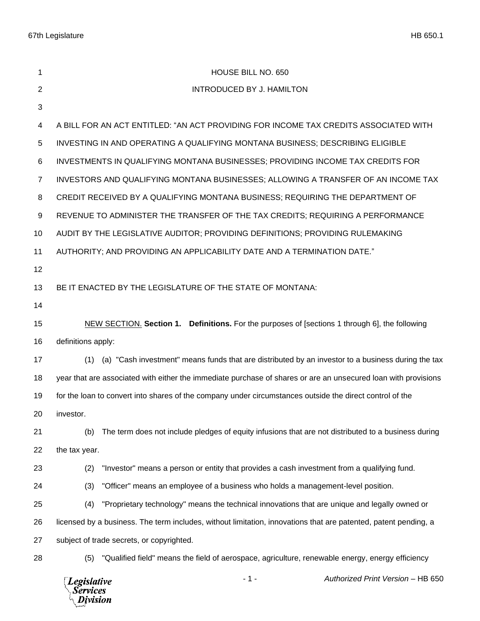| 1              | HOUSE BILL NO. 650                                                                                              |
|----------------|-----------------------------------------------------------------------------------------------------------------|
| 2              | <b>INTRODUCED BY J. HAMILTON</b>                                                                                |
| 3              |                                                                                                                 |
| 4              | A BILL FOR AN ACT ENTITLED: "AN ACT PROVIDING FOR INCOME TAX CREDITS ASSOCIATED WITH                            |
| 5              | INVESTING IN AND OPERATING A QUALIFYING MONTANA BUSINESS; DESCRIBING ELIGIBLE                                   |
| 6              | INVESTMENTS IN QUALIFYING MONTANA BUSINESSES; PROVIDING INCOME TAX CREDITS FOR                                  |
| $\overline{7}$ | INVESTORS AND QUALIFYING MONTANA BUSINESSES; ALLOWING A TRANSFER OF AN INCOME TAX                               |
| 8              | CREDIT RECEIVED BY A QUALIFYING MONTANA BUSINESS; REQUIRING THE DEPARTMENT OF                                   |
| 9              | REVENUE TO ADMINISTER THE TRANSFER OF THE TAX CREDITS; REQUIRING A PERFORMANCE                                  |
| 10             | AUDIT BY THE LEGISLATIVE AUDITOR; PROVIDING DEFINITIONS; PROVIDING RULEMAKING                                   |
| 11             | AUTHORITY; AND PROVIDING AN APPLICABILITY DATE AND A TERMINATION DATE."                                         |
| 12             |                                                                                                                 |
| 13             | BE IT ENACTED BY THE LEGISLATURE OF THE STATE OF MONTANA:                                                       |
| 14             |                                                                                                                 |
| 15             | NEW SECTION. Section 1. Definitions. For the purposes of [sections 1 through 6], the following                  |
| 16             | definitions apply:                                                                                              |
| 17             | (a) "Cash investment" means funds that are distributed by an investor to a business during the tax<br>(1)       |
| 18             | year that are associated with either the immediate purchase of shares or are an unsecured loan with provisions  |
| 19             | for the loan to convert into shares of the company under circumstances outside the direct control of the        |
| 20             | investor.                                                                                                       |
| 21             | The term does not include pledges of equity infusions that are not distributed to a business during<br>(b)      |
| 22             | the tax year.                                                                                                   |
| 23             | "Investor" means a person or entity that provides a cash investment from a qualifying fund.<br>(2)              |
| 24             | (3)<br>"Officer" means an employee of a business who holds a management-level position.                         |
| 25             | "Proprietary technology" means the technical innovations that are unique and legally owned or<br>(4)            |
| 26             | licensed by a business. The term includes, without limitation, innovations that are patented, patent pending, a |
| 27             | subject of trade secrets, or copyrighted.                                                                       |
| 28             | (5)<br>"Qualified field" means the field of aerospace, agriculture, renewable energy, energy efficiency         |
|                | $-1-$<br>Authorized Print Version - HB 650<br><b>Legislative</b><br>Services<br>Division                        |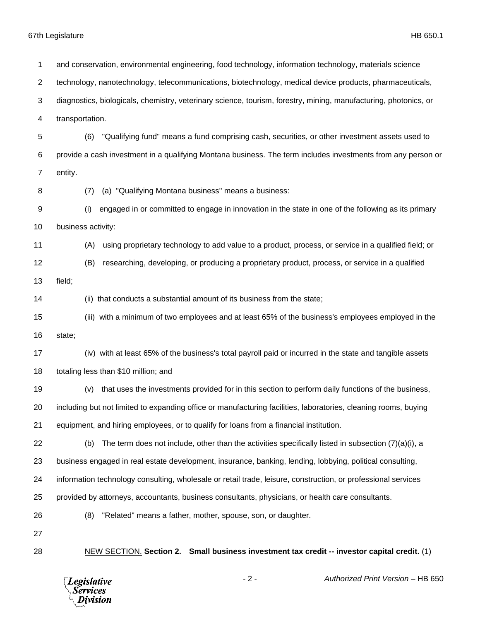**Legislative** *Services* Division

 and conservation, environmental engineering, food technology, information technology, materials science technology, nanotechnology, telecommunications, biotechnology, medical device products, pharmaceuticals, diagnostics, biologicals, chemistry, veterinary science, tourism, forestry, mining, manufacturing, photonics, or transportation. (6) "Qualifying fund" means a fund comprising cash, securities, or other investment assets used to provide a cash investment in a qualifying Montana business. The term includes investments from any person or entity. (7) (a) "Qualifying Montana business" means a business: (i) engaged in or committed to engage in innovation in the state in one of the following as its primary business activity: (A) using proprietary technology to add value to a product, process, or service in a qualified field; or (B) researching, developing, or producing a proprietary product, process, or service in a qualified field; (ii) that conducts a substantial amount of its business from the state; (iii) with a minimum of two employees and at least 65% of the business's employees employed in the state; (iv) with at least 65% of the business's total payroll paid or incurred in the state and tangible assets totaling less than \$10 million; and (v) that uses the investments provided for in this section to perform daily functions of the business, including but not limited to expanding office or manufacturing facilities, laboratories, cleaning rooms, buying equipment, and hiring employees, or to qualify for loans from a financial institution. 22 (b) The term does not include, other than the activities specifically listed in subsection  $(7)(a)(i)$ , a business engaged in real estate development, insurance, banking, lending, lobbying, political consulting, information technology consulting, wholesale or retail trade, leisure, construction, or professional services provided by attorneys, accountants, business consultants, physicians, or health care consultants. (8) "Related" means a father, mother, spouse, son, or daughter. NEW SECTION. **Section 2. Small business investment tax credit -- investor capital credit.** (1)

- 2 - *Authorized Print Version* – HB 650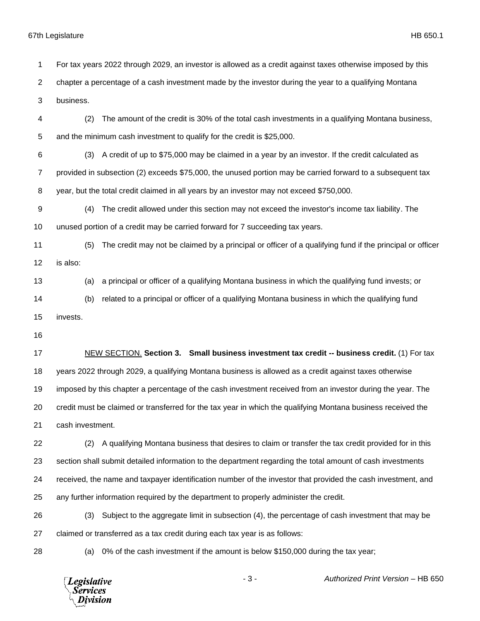For tax years 2022 through 2029, an investor is allowed as a credit against taxes otherwise imposed by this

chapter a percentage of a cash investment made by the investor during the year to a qualifying Montana

business.

- (2) The amount of the credit is 30% of the total cash investments in a qualifying Montana business, and the minimum cash investment to qualify for the credit is \$25,000.
- (3) A credit of up to \$75,000 may be claimed in a year by an investor. If the credit calculated as provided in subsection (2) exceeds \$75,000, the unused portion may be carried forward to a subsequent tax year, but the total credit claimed in all years by an investor may not exceed \$750,000.
- (4) The credit allowed under this section may not exceed the investor's income tax liability. The unused portion of a credit may be carried forward for 7 succeeding tax years.
- (5) The credit may not be claimed by a principal or officer of a qualifying fund if the principal or officer is also:
- (a) a principal or officer of a qualifying Montana business in which the qualifying fund invests; or
- (b) related to a principal or officer of a qualifying Montana business in which the qualifying fund invests.

 NEW SECTION. **Section 3. Small business investment tax credit -- business credit.** (1) For tax years 2022 through 2029, a qualifying Montana business is allowed as a credit against taxes otherwise imposed by this chapter a percentage of the cash investment received from an investor during the year. The credit must be claimed or transferred for the tax year in which the qualifying Montana business received the cash investment.

 (2) A qualifying Montana business that desires to claim or transfer the tax credit provided for in this section shall submit detailed information to the department regarding the total amount of cash investments received, the name and taxpayer identification number of the investor that provided the cash investment, and any further information required by the department to properly administer the credit.

 (3) Subject to the aggregate limit in subsection (4), the percentage of cash investment that may be claimed or transferred as a tax credit during each tax year is as follows:

(a) 0% of the cash investment if the amount is below \$150,000 during the tax year;

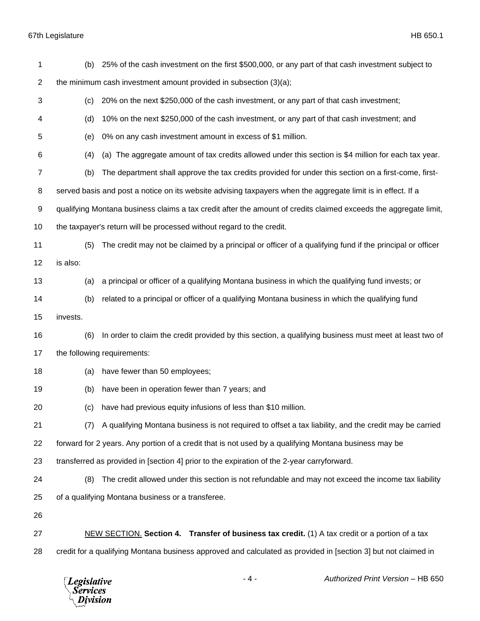| 1              | (b)      | 25% of the cash investment on the first \$500,000, or any part of that cash investment subject to                |
|----------------|----------|------------------------------------------------------------------------------------------------------------------|
| $\overline{c}$ |          | the minimum cash investment amount provided in subsection (3)(a);                                                |
| 3              | (c)      | 20% on the next \$250,000 of the cash investment, or any part of that cash investment;                           |
| 4              | (d)      | 10% on the next \$250,000 of the cash investment, or any part of that cash investment; and                       |
| 5              | (e)      | 0% on any cash investment amount in excess of \$1 million.                                                       |
| 6              | (4)      | (a) The aggregate amount of tax credits allowed under this section is \$4 million for each tax year.             |
| $\overline{7}$ | (b)      | The department shall approve the tax credits provided for under this section on a first-come, first-             |
| 8              |          | served basis and post a notice on its website advising taxpayers when the aggregate limit is in effect. If a     |
| 9              |          | qualifying Montana business claims a tax credit after the amount of credits claimed exceeds the aggregate limit, |
| 10             |          | the taxpayer's return will be processed without regard to the credit.                                            |
| 11             | (5)      | The credit may not be claimed by a principal or officer of a qualifying fund if the principal or officer         |
| 12             | is also: |                                                                                                                  |
| 13             | (a)      | a principal or officer of a qualifying Montana business in which the qualifying fund invests; or                 |
| 14             | (b)      | related to a principal or officer of a qualifying Montana business in which the qualifying fund                  |
| 15             | invests. |                                                                                                                  |
| 16             | (6)      | In order to claim the credit provided by this section, a qualifying business must meet at least two of           |
| 17             |          | the following requirements:                                                                                      |
| 18             | (a)      | have fewer than 50 employees;                                                                                    |
| 19             | (b)      | have been in operation fewer than 7 years; and                                                                   |
| 20             | (c)      | have had previous equity infusions of less than \$10 million.                                                    |
| 21             | (7)      | A qualifying Montana business is not required to offset a tax liability, and the credit may be carried           |
| 22             |          | forward for 2 years. Any portion of a credit that is not used by a qualifying Montana business may be            |
| 23             |          | transferred as provided in [section 4] prior to the expiration of the 2-year carryforward.                       |
| 24             | (8)      | The credit allowed under this section is not refundable and may not exceed the income tax liability              |
| 25             |          | of a qualifying Montana business or a transferee.                                                                |
| 26             |          |                                                                                                                  |
| 27             |          | NEW SECTION. Section 4. Transfer of business tax credit. (1) A tax credit or a portion of a tax                  |
| 28             |          | credit for a qualifying Montana business approved and calculated as provided in [section 3] but not claimed in   |
|                |          |                                                                                                                  |

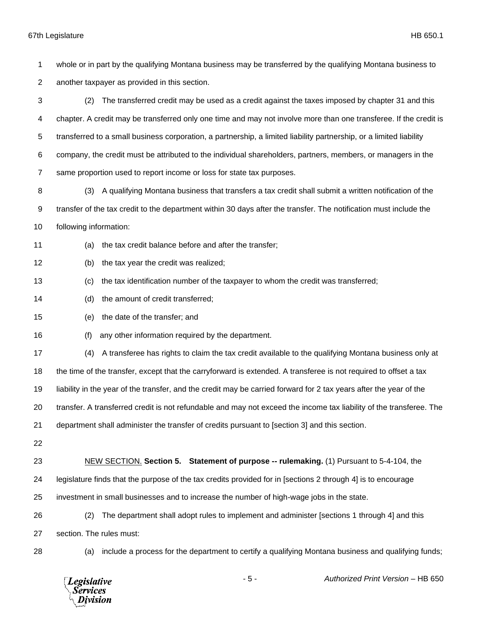whole or in part by the qualifying Montana business may be transferred by the qualifying Montana business to another taxpayer as provided in this section. (2) The transferred credit may be used as a credit against the taxes imposed by chapter 31 and this chapter. A credit may be transferred only one time and may not involve more than one transferee. If the credit is transferred to a small business corporation, a partnership, a limited liability partnership, or a limited liability company, the credit must be attributed to the individual shareholders, partners, members, or managers in the same proportion used to report income or loss for state tax purposes. 8 (3) A qualifying Montana business that transfers a tax credit shall submit a written notification of the transfer of the tax credit to the department within 30 days after the transfer. The notification must include the following information: (a) the tax credit balance before and after the transfer; (b) the tax year the credit was realized; (c) the tax identification number of the taxpayer to whom the credit was transferred; (d) the amount of credit transferred; (e) the date of the transfer; and (f) any other information required by the department. (4) A transferee has rights to claim the tax credit available to the qualifying Montana business only at the time of the transfer, except that the carryforward is extended. A transferee is not required to offset a tax liability in the year of the transfer, and the credit may be carried forward for 2 tax years after the year of the transfer. A transferred credit is not refundable and may not exceed the income tax liability of the transferee. The department shall administer the transfer of credits pursuant to [section 3] and this section. NEW SECTION. **Section 5. Statement of purpose -- rulemaking.** (1) Pursuant to 5-4-104, the legislature finds that the purpose of the tax credits provided for in [sections 2 through 4] is to encourage investment in small businesses and to increase the number of high-wage jobs in the state. (2) The department shall adopt rules to implement and administer [sections 1 through 4] and this section. The rules must: (a) include a process for the department to certify a qualifying Montana business and qualifying funds;

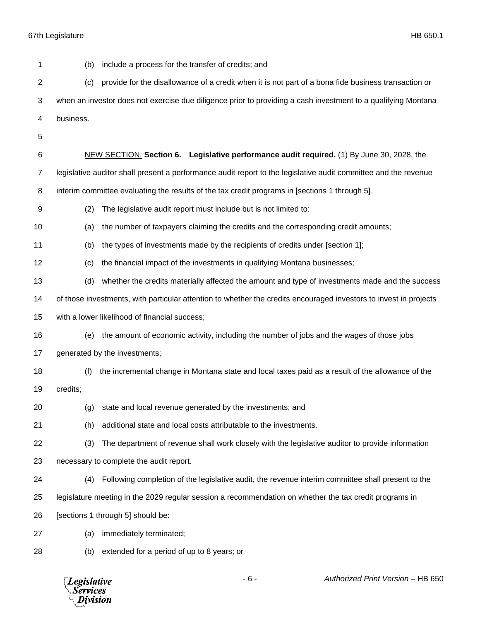| 1              | include a process for the transfer of credits; and<br>(b)                                                         |
|----------------|-------------------------------------------------------------------------------------------------------------------|
| $\overline{2}$ | provide for the disallowance of a credit when it is not part of a bona fide business transaction or<br>(c)        |
| 3              | when an investor does not exercise due diligence prior to providing a cash investment to a qualifying Montana     |
| 4              | business.                                                                                                         |
| 5              |                                                                                                                   |
| 6              | NEW SECTION. Section 6. Legislative performance audit required. (1) By June 30, 2028, the                         |
| $\overline{7}$ | legislative auditor shall present a performance audit report to the legislative audit committee and the revenue   |
| 8              | interim committee evaluating the results of the tax credit programs in [sections 1 through 5].                    |
| 9              | (2)<br>The legislative audit report must include but is not limited to:                                           |
| 10             | the number of taxpayers claiming the credits and the corresponding credit amounts;<br>(a)                         |
| 11             | the types of investments made by the recipients of credits under [section 1];<br>(b)                              |
| 12             | the financial impact of the investments in qualifying Montana businesses;<br>(c)                                  |
| 13             | whether the credits materially affected the amount and type of investments made and the success<br>(d)            |
| 14             | of those investments, with particular attention to whether the credits encouraged investors to invest in projects |
| 15             | with a lower likelihood of financial success;                                                                     |
| 16             | the amount of economic activity, including the number of jobs and the wages of those jobs<br>(e)                  |
| 17             | generated by the investments;                                                                                     |
| 18             | the incremental change in Montana state and local taxes paid as a result of the allowance of the<br>(f)           |
| 19             | credits;                                                                                                          |
| 20             | (g) state and local revenue generated by the investments; and                                                     |
| 21             | additional state and local costs attributable to the investments.<br>(h)                                          |
| 22             | The department of revenue shall work closely with the legislative auditor to provide information<br>(3)           |
| 23             | necessary to complete the audit report.                                                                           |
| 24             | Following completion of the legislative audit, the revenue interim committee shall present to the<br>(4)          |
| 25             | legislature meeting in the 2029 regular session a recommendation on whether the tax credit programs in            |
| 26             | [sections 1 through 5] should be:                                                                                 |
| 27             | immediately terminated;<br>(a)                                                                                    |
| 28             | extended for a period of up to 8 years; or<br>(b)                                                                 |
|                |                                                                                                                   |